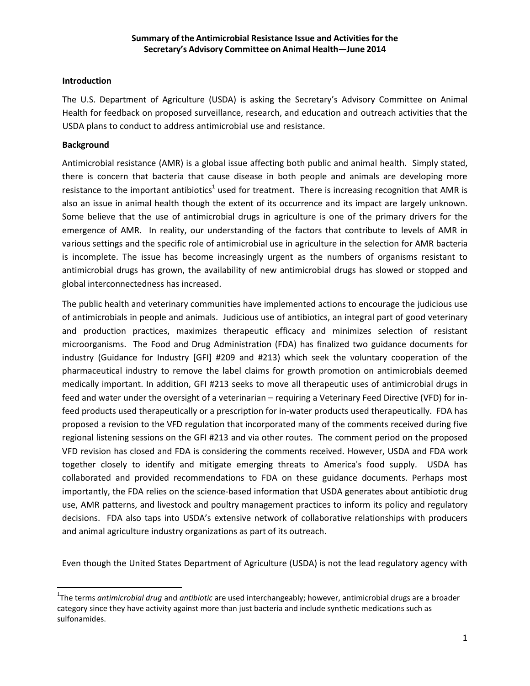#### **Introduction**

The U.S. Department of Agriculture (USDA) is asking the Secretary's Advisory Committee on Animal Health for feedback on proposed surveillance, research, and education and outreach activities that the USDA plans to conduct to address antimicrobial use and resistance.

### **Background**

 $\overline{\phantom{a}}$ 

Antimicrobial resistance (AMR) is a global issue affecting both public and animal health. Simply stated, there is concern that bacteria that cause disease in both people and animals are developing more resistance to the important antibiotics<sup>1</sup> used for treatment. There is increasing recognition that AMR is also an issue in animal health though the extent of its occurrence and its impact are largely unknown. Some believe that the use of antimicrobial drugs in agriculture is one of the primary drivers for the emergence of AMR. In reality, our understanding of the factors that contribute to levels of AMR in various settings and the specific role of antimicrobial use in agriculture in the selection for AMR bacteria is incomplete. The issue has become increasingly urgent as the numbers of organisms resistant to antimicrobial drugs has grown, the availability of new antimicrobial drugs has slowed or stopped and global interconnectedness has increased.

The public health and veterinary communities have implemented actions to encourage the judicious use of antimicrobials in people and animals. Judicious use of antibiotics, an integral part of good veterinary and production practices, maximizes therapeutic efficacy and minimizes selection of resistant microorganisms. The Food and Drug Administration (FDA) has finalized two guidance documents for industry (Guidance for Industry [GFI] #209 and #213) which seek the voluntary cooperation of the pharmaceutical industry to remove the label claims for growth promotion on antimicrobials deemed medically important. In addition, GFI #213 seeks to move all therapeutic uses of antimicrobial drugs in feed and water under the oversight of a veterinarian – requiring a Veterinary Feed Directive (VFD) for infeed products used therapeutically or a prescription for in-water products used therapeutically. FDA has proposed a revision to the VFD regulation that incorporated many of the comments received during five regional listening sessions on the GFI #213 and via other routes. The comment period on the proposed VFD revision has closed and FDA is considering the comments received. However, USDA and FDA work together closely to identify and mitigate emerging threats to America's food supply. USDA has collaborated and provided recommendations to FDA on these guidance documents. Perhaps most importantly, the FDA relies on the science-based information that USDA generates about antibiotic drug use, AMR patterns, and livestock and poultry management practices to inform its policy and regulatory decisions. FDA also taps into USDA's extensive network of collaborative relationships with producers and animal agriculture industry organizations as part of its outreach.

Even though the United States Department of Agriculture (USDA) is not the lead regulatory agency with

<sup>1</sup> The terms *antimicrobial drug* and *antibiotic* are used interchangeably; however, antimicrobial drugs are a broader category since they have activity against more than just bacteria and include synthetic medications such as sulfonamides.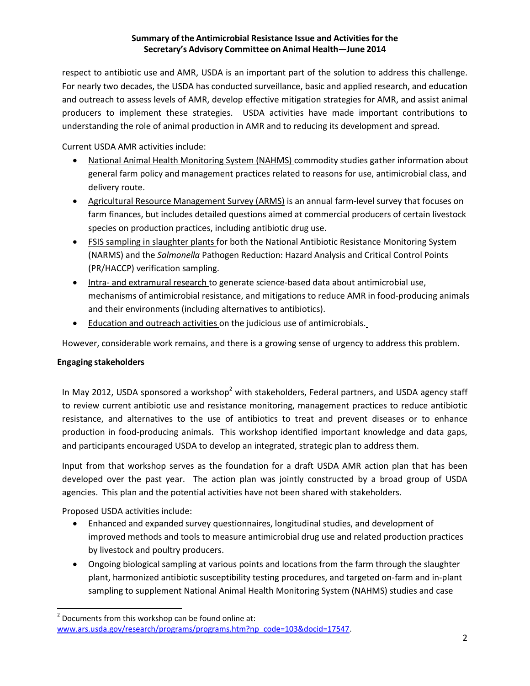# **Summary of the Antimicrobial Resistance Issue and Activities for the Secretary's Advisory Committee on Animal Health—June 2014**

respect to antibiotic use and AMR, USDA is an important part of the solution to address this challenge. For nearly two decades, the USDA has conducted surveillance, basic and applied research, and education and outreach to assess levels of AMR, develop effective mitigation strategies for AMR, and assist animal producers to implement these strategies. USDA activities have made important contributions to understanding the role of animal production in AMR and to reducing its development and spread.

Current USDA AMR activities include:

- National Animal Health Monitoring System (NAHMS) commodity studies gather information about general farm policy and management practices related to reasons for use, antimicrobial class, and delivery route.
- Agricultural Resource Management Survey (ARMS) is an annual farm-level survey that focuses on farm finances, but includes detailed questions aimed at commercial producers of certain livestock species on production practices, including antibiotic drug use.
- FSIS sampling in slaughter plants for both the National Antibiotic Resistance Monitoring System (NARMS) and the *Salmonella* Pathogen Reduction: Hazard Analysis and Critical Control Points (PR/HACCP) verification sampling.
- Intra- and extramural research to generate science-based data about antimicrobial use, mechanisms of antimicrobial resistance, and mitigations to reduce AMR in food-producing animals and their environments (including alternatives to antibiotics).
- Education and outreach activities on the judicious use of antimicrobials.

However, considerable work remains, and there is a growing sense of urgency to address this problem.

# **Engaging stakeholders**

In May 2012, USDA sponsored a workshop<sup>2</sup> with stakeholders, Federal partners, and USDA agency staff to review current antibiotic use and resistance monitoring, management practices to reduce antibiotic resistance, and alternatives to the use of antibiotics to treat and prevent diseases or to enhance production in food-producing animals. This workshop identified important knowledge and data gaps, and participants encouraged USDA to develop an integrated, strategic plan to address them.

Input from that workshop serves as the foundation for a draft USDA AMR action plan that has been developed over the past year. The action plan was jointly constructed by a broad group of USDA agencies. This plan and the potential activities have not been shared with stakeholders.

Proposed USDA activities include:

l

- Enhanced and expanded survey questionnaires, longitudinal studies, and development of improved methods and tools to measure antimicrobial drug use and related production practices by livestock and poultry producers.
- Ongoing biological sampling at various points and locations from the farm through the slaughter plant, harmonized antibiotic susceptibility testing procedures, and targeted on-farm and in-plant sampling to supplement National Animal Health Monitoring System (NAHMS) studies and case

 $2$  Documents from this workshop can be found online at: [www.ars.usda.gov/research/programs/programs.htm?np\\_code=103&docid=17547.](http://www.ars.usda.gov/research/programs/programs.htm?np_code=103&docid=17547)